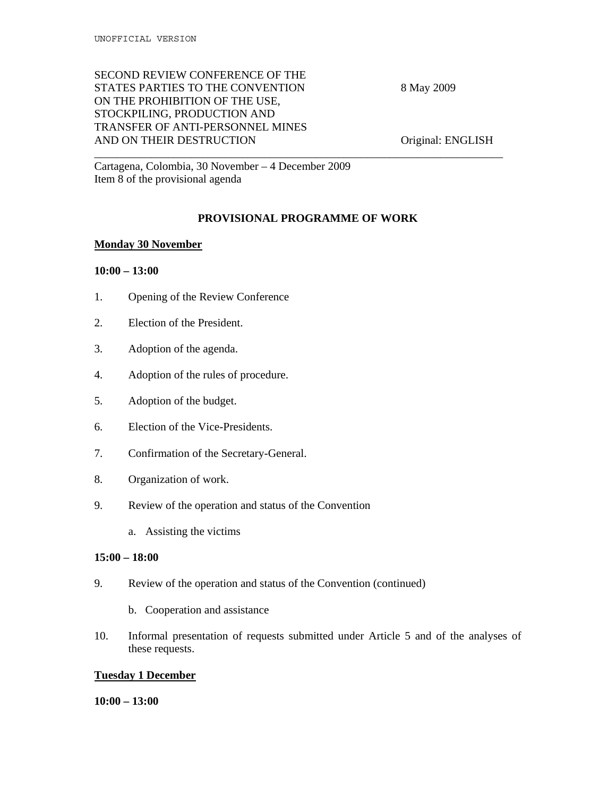# SECOND REVIEW CONFERENCE OF THE STATES PARTIES TO THE CONVENTION 8 May 2009 ON THE PROHIBITION OF THE USE, STOCKPILING, PRODUCTION AND TRANSFER OF ANTI-PERSONNEL MINES AND ON THEIR DESTRUCTION Original: ENGLISH

Cartagena, Colombia, 30 November – 4 December 2009 Item 8 of the provisional agenda

# **PROVISIONAL PROGRAMME OF WORK**

\_\_\_\_\_\_\_\_\_\_\_\_\_\_\_\_\_\_\_\_\_\_\_\_\_\_\_\_\_\_\_\_\_\_\_\_\_\_\_\_\_\_\_\_\_\_\_\_\_\_\_\_\_\_\_\_\_\_\_\_\_\_\_\_\_\_\_\_\_\_\_\_

### **Monday 30 November**

#### **10:00 – 13:00**

- 1. Opening of the Review Conference
- 2. Election of the President.
- 3. Adoption of the agenda.
- 4. Adoption of the rules of procedure.
- 5. Adoption of the budget.
- 6. Election of the Vice-Presidents.
- 7. Confirmation of the Secretary-General.
- 8. Organization of work.
- 9. Review of the operation and status of the Convention
	- a. Assisting the victims

#### **15:00 – 18:00**

- 9. Review of the operation and status of the Convention (continued)
	- b. Cooperation and assistance
- 10. Informal presentation of requests submitted under Article 5 and of the analyses of these requests.

# **Tuesday 1 December**

#### **10:00 – 13:00**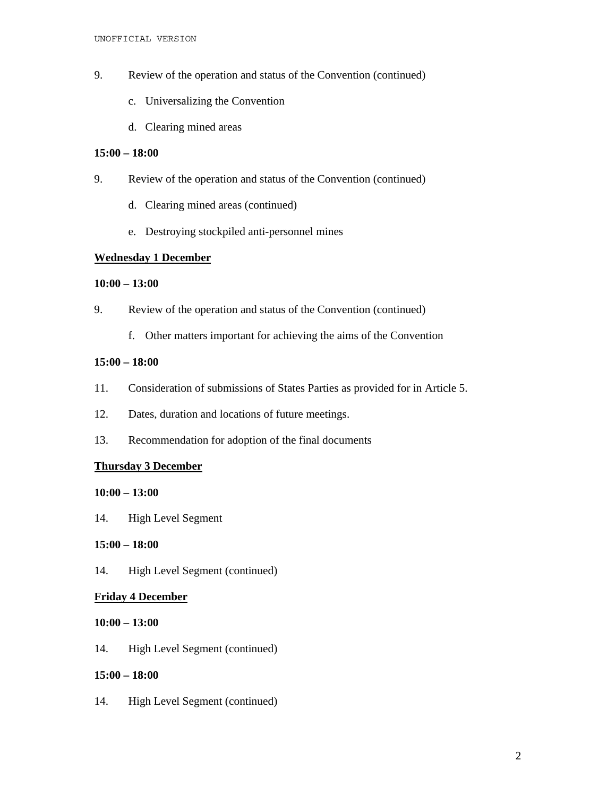- 9. Review of the operation and status of the Convention (continued)
	- c. Universalizing the Convention
	- d. Clearing mined areas

### **15:00 – 18:00**

- 9. Review of the operation and status of the Convention (continued)
	- d. Clearing mined areas (continued)
	- e. Destroying stockpiled anti-personnel mines

# **Wednesday 1 December**

#### **10:00 – 13:00**

- 9. Review of the operation and status of the Convention (continued)
	- f. Other matters important for achieving the aims of the Convention

### **15:00 – 18:00**

- 11. Consideration of submissions of States Parties as provided for in Article 5.
- 12. Dates, duration and locations of future meetings.
- 13. Recommendation for adoption of the final documents

# **Thursday 3 December**

#### **10:00 – 13:00**

14. High Level Segment

# **15:00 – 18:00**

14. High Level Segment (continued)

# **Friday 4 December**

#### **10:00 – 13:00**

14. High Level Segment (continued)

# **15:00 – 18:00**

14. High Level Segment (continued)